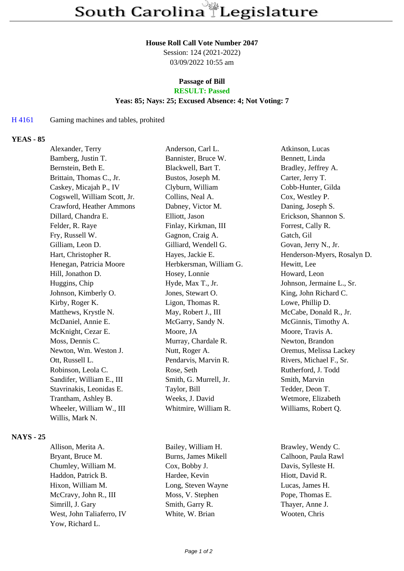#### **House Roll Call Vote Number 2047**

Session: 124 (2021-2022) 03/09/2022 10:55 am

# **Passage of Bill**

# **RESULT: Passed**

# **Yeas: 85; Nays: 25; Excused Absence: 4; Not Voting: 7**

#### H 4161 Gaming machines and tables, prohited

#### **YEAS - 85**

| Alexander, Terry             | Anderson, Carl L.       | Atkinson, Lucas             |
|------------------------------|-------------------------|-----------------------------|
| Bamberg, Justin T.           | Bannister, Bruce W.     | Bennett, Linda              |
| Bernstein, Beth E.           | Blackwell, Bart T.      | Bradley, Jeffrey A.         |
| Brittain, Thomas C., Jr.     | Bustos, Joseph M.       | Carter, Jerry T.            |
| Caskey, Micajah P., IV       | Clyburn, William        | Cobb-Hunter, Gilda          |
| Cogswell, William Scott, Jr. | Collins, Neal A.        | Cox, Westley P.             |
| Crawford, Heather Ammons     | Dabney, Victor M.       | Daning, Joseph S.           |
| Dillard, Chandra E.          | Elliott, Jason          | Erickson, Shannon S.        |
| Felder, R. Raye              | Finlay, Kirkman, III    | Forrest, Cally R.           |
| Fry, Russell W.              | Gagnon, Craig A.        | Gatch, Gil                  |
| Gilliam, Leon D.             | Gilliard, Wendell G.    | Govan, Jerry N., Jr.        |
| Hart, Christopher R.         | Hayes, Jackie E.        | Henderson-Myers, Rosalyn D. |
| Henegan, Patricia Moore      | Herbkersman, William G. | Hewitt, Lee                 |
| Hill, Jonathon D.            | Hosey, Lonnie           | Howard, Leon                |
| Huggins, Chip                | Hyde, Max T., Jr.       | Johnson, Jermaine L., Sr.   |
| Johnson, Kimberly O.         | Jones, Stewart O.       | King, John Richard C.       |
| Kirby, Roger K.              | Ligon, Thomas R.        | Lowe, Phillip D.            |
| Matthews, Krystle N.         | May, Robert J., III     | McCabe, Donald R., Jr.      |
| McDaniel, Annie E.           | McGarry, Sandy N.       | McGinnis, Timothy A.        |
| McKnight, Cezar E.           | Moore, JA               | Moore, Travis A.            |
| Moss, Dennis C.              | Murray, Chardale R.     | Newton, Brandon             |
| Newton, Wm. Weston J.        | Nutt, Roger A.          | Oremus, Melissa Lackey      |
| Ott, Russell L.              | Pendarvis, Marvin R.    | Rivers, Michael F., Sr.     |
| Robinson, Leola C.           | Rose, Seth              | Rutherford, J. Todd         |
| Sandifer, William E., III    | Smith, G. Murrell, Jr.  | Smith, Marvin               |
| Stavrinakis, Leonidas E.     | Taylor, Bill            | Tedder, Deon T.             |
| Trantham, Ashley B.          | Weeks, J. David         | Wetmore, Elizabeth          |
| Wheeler, William W., III     | Whitmire, William R.    | Williams, Robert Q.         |
| Willis, Mark N.              |                         |                             |
|                              |                         |                             |

#### **NAYS - 25**

Allison, Merita A. Bailey, William H. Brawley, Wendy C. Bryant, Bruce M. Burns, James Mikell Calhoon, Paula Rawl Chumley, William M. Cox, Bobby J. Davis, Sylleste H. Haddon, Patrick B. Hardee, Kevin Hiott, David R. Hixon, William M. Long, Steven Wayne Lucas, James H. McCravy, John R., III Moss, V. Stephen Pope, Thomas E. Simrill, J. Gary Smith, Garry R. Thayer, Anne J. West, John Taliaferro, IV White, W. Brian Wooten, Chris Yow, Richard L.